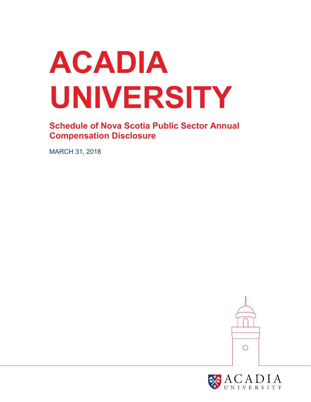# **ACADIA UNIVERSITY**

**Schedule of Nova Scotia Public Sector Annual Compensation Disclosure**

MARCH 31, 2018



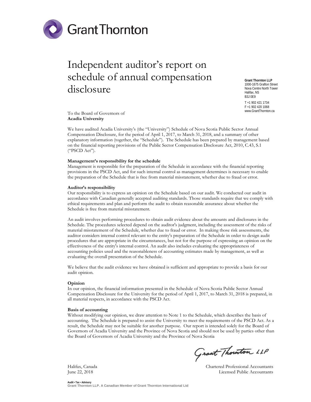

# Independent auditor's report on schedule of annual compensation disclosure

**Grant Thornton LLP** 1000-1675 Grafton Street Nova Centre North Tower Halifax, NS B3J 0E9 T +1 902 421 1734 F +1 902 420 1068 www.GrantThornton.ca

To the Board of Governors of **Acadia University**

We have audited Acadia University's (the "University") Schedule of Nova Scotia Public Sector Annual Compensation Disclosure, for the period of April 1, 2017, to March 31, 2018, and a summary of other explanatory information (together, the "Schedule"). The Schedule has been prepared by management based on the financial reporting provisions of the Public Sector Compensation Disclosure Act, 2010, C.43, S.1 ("PSCD Act").

#### **Management's responsibility for the schedule**

Management is responsible for the preparation of the Schedule in accordance with the financial reporting provisions in the PSCD Act, and for such internal control as management determines is necessary to enable the preparation of the Schedule that is free from material misstatement, whether due to fraud or error.

#### **Auditor's responsibility**

Our responsibility is to express an opinion on the Schedule based on our audit. We conducted our audit in accordance with Canadian generally accepted auditing standards. Those standards require that we comply with ethical requirements and plan and perform the audit to obtain reasonable assurance about whether the Schedule is free from material misstatement.

An audit involves performing procedures to obtain audit evidence about the amounts and disclosures in the Schedule. The procedures selected depend on the auditor's judgment, including the assessment of the risks of material misstatement of the Schedule, whether due to fraud or error. In making those risk assessments, the auditor considers internal control relevant to the entity's preparation of the Schedule in order to design audit procedures that are appropriate in the circumstances, but not for the purpose of expressing an opinion on the effectiveness of the entity's internal control. An audit also includes evaluating the appropriateness of accounting policies used and the reasonableness of accounting estimates made by management, as well as evaluating the overall presentation of the Schedule.

We believe that the audit evidence we have obtained is sufficient and appropriate to provide a basis for our audit opinion.

#### **Opinion**

In our opinion, the financial information presented in the Schedule of Nova Scotia Public Sector Annual Compensation Disclosure for the University for the period of April 1, 2017, to March 31, 2018 is prepared, in all material respects, in accordance with the PSCD Act.

#### **Basis of accounting**

Without modifying our opinion, we draw attention to Note 1 to the Schedule, which describes the basis of accounting. The Schedule is prepared to assist the University to meet the requirements of the PSCD Act. As a result, the Schedule may not be suitable for another purpose. Our report is intended solely for the Board of Governors of Acadia University and the Province of Nova Scotia and should not be used by parties other than the Board of Governors of Acadia University and the Province of Nova Scotia

Grant Thouton LLP

Halifax, Canada Chartered Professional Accountants June 22, 2018 Licensed Public Accountants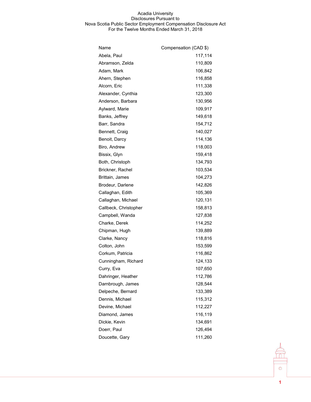| Name                  | Compensation (CAD \$) |
|-----------------------|-----------------------|
| Abela, Paul           | 117,114               |
| Abramson, Zelda       | 110,809               |
| Adam, Mark            | 106,842               |
| Ahern, Stephen        | 116,858               |
| Alcorn, Eric          | 111,338               |
| Alexander, Cynthia    | 123,300               |
| Anderson, Barbara     | 130,956               |
| Aylward, Marie        | 109,917               |
| Banks, Jeffrey        | 149,618               |
| Barr, Sandra          | 154,712               |
| Bennett, Craig        | 140,027               |
| Benoit, Darcy         | 114,136               |
| Biro, Andrew          | 118,003               |
| Bissix, Glyn          | 159,418               |
| Both, Christoph       | 134,793               |
| Brickner, Rachel      | 103,534               |
| Brittain, James       | 104,273               |
| Brodeur, Darlene      | 142,826               |
| Callaghan, Edith      | 105,369               |
| Callaghan, Michael    | 120,131               |
| Callbeck, Christopher | 158,813               |
| Campbell, Wanda       | 127,838               |
| Charke, Derek         | 114,252               |
| Chipman, Hugh         | 139,889               |
| Clarke, Nancy         | 118,816               |
| Colton, John          | 153,599               |
| Corkum, Patricia      | 116,862               |
| Cunningham, Richard   | 124,133               |
| Curry, Eva            | 107,650               |
| Dahringer, Heather    | 112,786               |
| Darnbrough, James     | 128,544               |
| Delpeche, Bernard     | 133,389               |
| Dennis, Michael       | 115,312               |
| Devine, Michael       | 112,227               |
| Diamond, James        | 116,119               |
| Dickie, Kevin         | 134,691               |
| Doerr, Paul           | 126,494               |
| Doucette, Gary        | 111,260               |

 $\circ$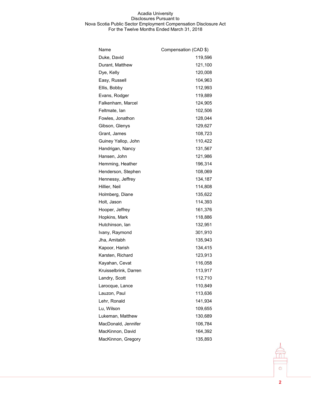| Name                  | Compensation (CAD \$) |
|-----------------------|-----------------------|
| Duke, David           | 119,596               |
| Durant, Matthew       | 121,100               |
| Dye, Kelly            | 120,008               |
| Easy, Russell         | 104,963               |
| Ellis, Bobby          | 112,993               |
| Evans, Rodger         | 119,889               |
| Falkenham, Marcel     | 124,905               |
| Feltmate, lan         | 102,506               |
| Fowles, Jonathon      | 128,044               |
| Gibson, Glenys        | 129,627               |
| Grant, James          | 108,723               |
| Guiney Yallop, John   | 110,422               |
| Handrigan, Nancy      | 131,567               |
| Hansen, John          | 121,986               |
| Hemming, Heather      | 196,314               |
| Henderson, Stephen    | 108,069               |
| Hennessy, Jeffrey     | 134,187               |
| Hillier, Neil         | 114,808               |
| Holmberg, Diane       | 135,622               |
| Holt, Jason           | 114,393               |
| Hooper, Jeffrey       | 161,376               |
| Hopkins, Mark         | 118,886               |
| Hutchinson, lan       | 132,951               |
| Ivany, Raymond        | 301,910               |
| Jha, Amitabh          | 135,943               |
| Kapoor, Harish        | 134,415               |
| Karsten, Richard      | 123,913               |
| Kayahan, Cevat        | 116,058               |
| Kruisselbrink, Darren | 113,917               |
| Landry, Scott         | 112,710               |
| Larocque, Lance       | 110,849               |
| Lauzon, Paul          | 113,636               |
| Lehr, Ronald          | 141,934               |
| Lu, Wilson            | 109,655               |
| Lukeman, Matthew      | 130,689               |
| MacDonald, Jennifer   | 106,784               |
| MacKinnon, David      | 164,392               |
| MacKinnon, Gregory    | 135,893               |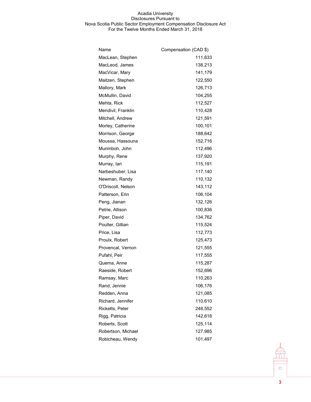| Name               | Compensation (CAD \$) |
|--------------------|-----------------------|
| MacLean, Stephen   | 111,633               |
| MacLeod, James     | 138,213               |
| MacVicar, Mary     | 141,179               |
| Maitzen, Stephen   | 122,550               |
| Mallory, Mark      | 126,713               |
| McMullin, David    | 104,255               |
| Mehta, Rick        | 112,527               |
| Mendivil, Franklin | 110,428               |
| Mitchell, Andrew   | 121,591               |
| Morley, Catherine  | 100,101               |
| Morrison, George   | 188,642               |
| Moussa, Hassouna   | 152,716               |
| Murimboh, John     | 112,496               |
| Murphy, Rene       | 137,920               |
| Murray, lan        | 115,191               |
| Narbeshuber, Lisa  | 117,140               |
| Newman, Randy      | 110,132               |
| O'Driscoll, Nelson | 143,112               |
| Patterson, Erin    | 106,104               |
| Peng, Jianan       | 132,126               |
| Petrie, Allison    | 100,836               |
| Piper, David       | 134,762               |
| Poulter, Gillian   | 115,524               |
| Price, Lisa        | 112,773               |
| Proulx, Robert     | 125,473               |
| Provencal, Vernon  | 121,555               |
| Pufahl, Peir       | 117,555               |
| Quema, Anne        | 115,287               |
| Raeside, Robert    | 152,696               |
| Ramsay, Marc       | 110,263               |
| Rand, Jennie       | 106,176               |
| Redden, Anna       | 121,085               |
| Richard, Jennifer  | 110,610               |
| Ricketts, Peter    | 248,552               |
| Rigg, Patricia     | 142,618               |
| Roberts, Scott     | 125,114               |
| Robertson, Michael | 127,985               |
| Robicheau, Wendy   | 101,497               |

 $\circ$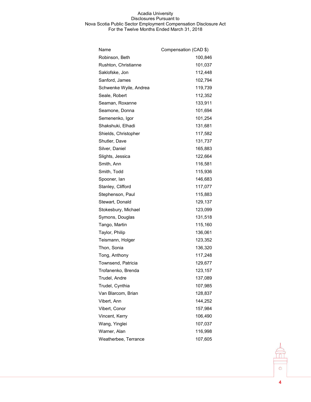| Name                   | Compensation (CAD \$) |
|------------------------|-----------------------|
| Robinson, Beth         | 100,846               |
| Rushton, Christianne   | 101,037               |
| Saklofske, Jon         | 112,448               |
| Sanford, James         | 102,794               |
| Schwenke Wyile, Andrea | 119,739               |
| Seale, Robert          | 112,352               |
| Seaman, Roxanne        | 133,911               |
| Seamone, Donna         | 101,694               |
| Semenenko, Igor        | 101,254               |
| Shakshuki, Elhadi      | 131,681               |
| Shields, Christopher   | 117,582               |
| Shutler, Dave          | 131,737               |
| Silver, Daniel         | 165,883               |
| Slights, Jessica       | 122,664               |
| Smith, Ann             | 116,581               |
| Smith, Todd            | 115,936               |
| Spooner, lan           | 146,683               |
| Stanley, Clifford      | 117,077               |
| Stephenson, Paul       | 115,883               |
| Stewart, Donald        | 129,137               |
| Stokesbury, Michael    | 123,099               |
| Symons, Douglas        | 131,518               |
| Tango, Martin          | 115,160               |
| Taylor, Philip         | 136,061               |
| Teismann, Holger       | 123,352               |
| Thon, Sonia            | 136,320               |
| Tong, Anthony          | 117,248               |
| Townsend, Patricia     | 129,677               |
| Trofanenko, Brenda     | 123,157               |
| Trudel, Andre          | 137,089               |
| Trudel, Cynthia        | 107,985               |
| Van Blarcom, Brian     | 128,837               |
| Vibert, Ann            | 144,252               |
| Vibert, Conor          | 157,984               |
| Vincent, Kerry         | 106,490               |
| Wang, Yinglei          | 107,037               |
| Warner, Alan           | 116,998               |
| Weatherbee, Terrance   | 107,605               |

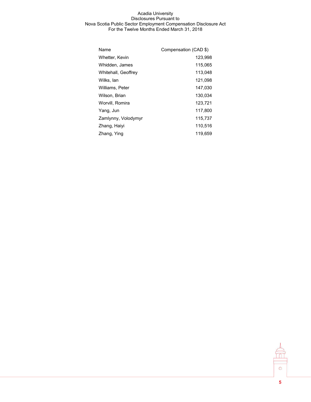| Name                | Compensation (CAD \$) |
|---------------------|-----------------------|
| Whetter, Kevin      | 123,998               |
| Whidden, James      | 115,065               |
| Whitehall, Geoffrey | 113,048               |
| Wilks, lan          | 121,098               |
| Williams, Peter     | 147,030               |
| Wilson, Brian       | 130,034               |
| Worvill, Romira     | 123,721               |
| Yang, Jun           | 117,800               |
| Zamlynny, Volodymyr | 115,737               |
| Zhang, Haiyi        | 110,516               |
| Zhang, Ying         | 119.659               |

 $\circ$